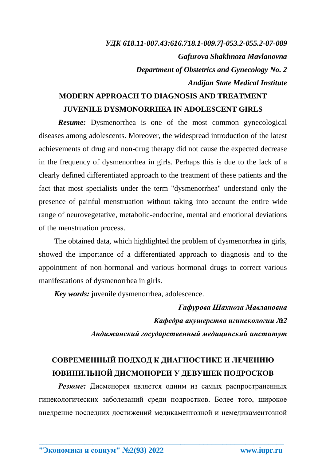## *УДК 618.11-007.43:616.718.1-009.7]-053.2-055.2-07-089 Gafurova Shakhnoza Mavlanovna Department of Obstetrics and Gynecology No. 2 Andijan State Medical Institute*

## **MODERN APPROACH TO DIAGNOSIS AND TREATMENT JUVENILE DYSMONORRHEA IN ADOLESCENT GIRLS**

*Resume:* Dysmenorrhea is one of the most common gynecological diseases among adolescents. Moreover, the widespread introduction of the latest achievements of drug and non-drug therapy did not cause the expected decrease in the frequency of dysmenorrhea in girls. Perhaps this is due to the lack of a clearly defined differentiated approach to the treatment of these patients and the fact that most specialists under the term "dysmenorrhea" understand only the presence of painful menstruation without taking into account the entire wide range of neurovegetative, metabolic-endocrine, mental and emotional deviations of the menstruation process.

The obtained data, which highlighted the problem of dysmenorrhea in girls, showed the importance of a differentiated approach to diagnosis and to the appointment of non-hormonal and various hormonal drugs to correct various manifestations of dysmenorrhea in girls.

*Key words:* juvenile dysmenorrhea, adolescence.

*Гафурова Шахноза Мавлановна Кафедра акушерства игинекологии №2 Андижанский государственный медицинский институт*

## **СОВРЕМЕННЫЙ ПОДХОД К ДИАГНОСТИКЕ И ЛЕЧЕНИЮ ЮВИНИЛЬНОЙ ДИСМОНОРЕИ У ДЕВУШЕК ПОДРОСКОВ**

*Резюме:* Дисменорея является одним из самых распространенных гинекологических заболеваний среди подростков. Более того, широкое внедрение последних достижений медикаментозной и немедикаментозной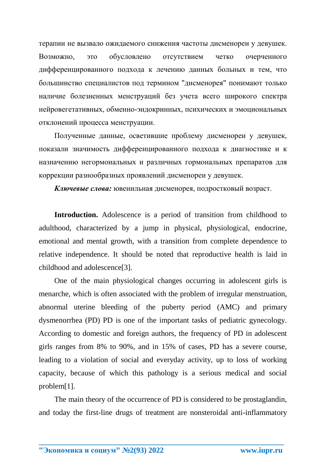терапии не вызвало ожидаемого снижения частоты дисменореи у девушек. Возможно, это обусловлено отсутствием четко очерченного дифференцированного подхода к лечению данных больных и тем, что большинство специалистов под термином "дисменорея" понимают только наличие болезненных менструаций без учета всего широкого спектра нейровегетативных, обменно-эндокринных, психических и эмоциональных отклонений процесса менструации.

Полученные данные, осветившие проблему дисменореи у девушек, показали значимость дифференцированного подхода к диагностике и к назначению негормональных и различных гормональных препаратов для коррекции разнообразных проявлений дисменореи у девушек.

*Ключевые слова:* ювенильная дисменорея, подростковый возраст.

**Introduction.** Adolescence is a period of transition from childhood to adulthood, characterized by a jump in physical, physiological, endocrine, emotional and mental growth, with a transition from complete dependence to relative independence. It should be noted that reproductive health is laid in childhood and adolescence[3].

One of the main physiological changes occurring in adolescent girls is menarche, which is often associated with the problem of irregular menstruation, abnormal uterine bleeding of the puberty period (AMC) and primary dysmenorrhea (PD) PD is one of the important tasks of pediatric gynecology. According to domestic and foreign authors, the frequency of PD in adolescent girls ranges from 8% to 90%, and in 15% of cases, PD has a severe course, leading to a violation of social and everyday activity, up to loss of working capacity, because of which this pathology is a serious medical and social problem[1].

The main theory of the occurrence of PD is considered to be prostaglandin, and today the first-line drugs of treatment are nonsteroidal anti-inflammatory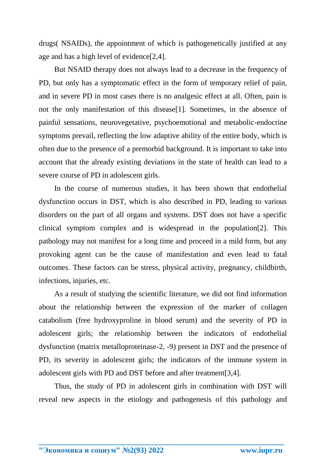drugs( NSAIDs), the appointment of which is pathogenetically justified at any age and has a high level of evidence[2,4].

But NSAID therapy does not always lead to a decrease in the frequency of PD, but only has a symptomatic effect in the form of temporary relief of pain, and in severe PD in most cases there is no analgesic effect at all. Often, pain is not the only manifestation of this disease[1]. Sometimes, in the absence of painful sensations, neurovegetative, psychoemotional and metabolic-endocrine symptoms prevail, reflecting the low adaptive ability of the entire body, which is often due to the presence of a premorbid background. It is important to take into account that the already existing deviations in the state of health can lead to a severe course of PD in adolescent girls.

In the course of numerous studies, it has been shown that endothelial dysfunction occurs in DST, which is also described in PD, leading to various disorders on the part of all organs and systems. DST does not have a specific clinical symptom complex and is widespread in the population[2]. This pathology may not manifest for a long time and proceed in a mild form, but any provoking agent can be the cause of manifestation and even lead to fatal outcomes. These factors can be stress, physical activity, pregnancy, childbirth, infections, injuries, etc.

As a result of studying the scientific literature, we did not find information about the relationship between the expression of the marker of collagen catabolism (free hydroxyproline in blood serum) and the severity of PD in adolescent girls; the relationship between the indicators of endothelial dysfunction (matrix metalloproteinase-2, -9) present in DST and the presence of PD, its severity in adolescent girls; the indicators of the immune system in adolescent girls with PD and DST before and after treatment[3,4].

Thus, the study of PD in adolescent girls in combination with DST will reveal new aspects in the etiology and pathogenesis of this pathology and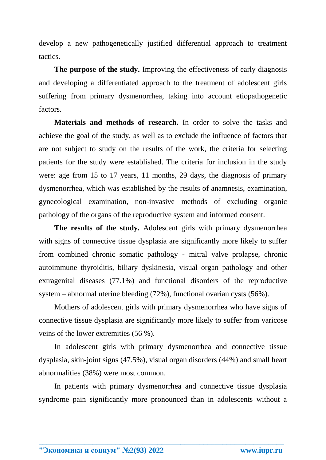develop a new pathogenetically justified differential approach to treatment tactics.

**The purpose of the study.** Improving the effectiveness of early diagnosis and developing a differentiated approach to the treatment of adolescent girls suffering from primary dysmenorrhea, taking into account etiopathogenetic factors.

**Materials and methods of research.** In order to solve the tasks and achieve the goal of the study, as well as to exclude the influence of factors that are not subject to study on the results of the work, the criteria for selecting patients for the study were established. The criteria for inclusion in the study were: age from 15 to 17 years, 11 months, 29 days, the diagnosis of primary dysmenorrhea, which was established by the results of anamnesis, examination, gynecological examination, non-invasive methods of excluding organic pathology of the organs of the reproductive system and informed consent.

**The results of the study.** Adolescent girls with primary dysmenorrhea with signs of connective tissue dysplasia are significantly more likely to suffer from combined chronic somatic pathology - mitral valve prolapse, chronic autoimmune thyroiditis, biliary dyskinesia, visual organ pathology and other extragenital diseases (77.1%) and functional disorders of the reproductive system – abnormal uterine bleeding (72%), functional ovarian cysts (56%).

Mothers of adolescent girls with primary dysmenorrhea who have signs of connective tissue dysplasia are significantly more likely to suffer from varicose veins of the lower extremities (56 %).

In adolescent girls with primary dysmenorrhea and connective tissue dysplasia, skin-joint signs (47.5%), visual organ disorders (44%) and small heart abnormalities (38%) were most common.

In patients with primary dysmenorrhea and connective tissue dysplasia syndrome pain significantly more pronounced than in adolescents without a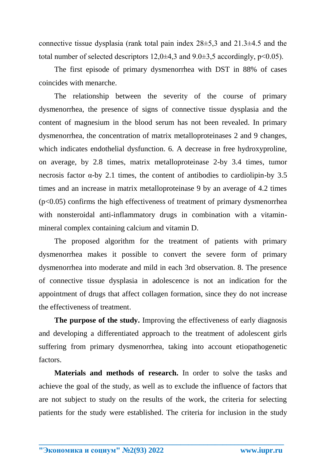connective tissue dysplasia (rank total pain index 28±5,3 and 21.3±4.5 and the total number of selected descriptors  $12.0\pm 4.3$  and  $9.0\pm 3.5$  accordingly,  $p<0.05$ ).

The first episode of primary dysmenorrhea with DST in 88% of cases coincides with menarche.

The relationship between the severity of the course of primary dysmenorrhea, the presence of signs of connective tissue dysplasia and the content of magnesium in the blood serum has not been revealed. In primary dysmenorrhea, the concentration of matrix metalloproteinases 2 and 9 changes, which indicates endothelial dysfunction. 6. A decrease in free hydroxyproline, on average, by 2.8 times, matrix metalloproteinase 2-by 3.4 times, tumor necrosis factor  $\alpha$ -by 2.1 times, the content of antibodies to cardiolipin-by 3.5 times and an increase in matrix metalloproteinase 9 by an average of 4.2 times  $(p<0.05)$  confirms the high effectiveness of treatment of primary dysmenorrhea with nonsteroidal anti-inflammatory drugs in combination with a vitaminmineral complex containing calcium and vitamin D.

The proposed algorithm for the treatment of patients with primary dysmenorrhea makes it possible to convert the severe form of primary dysmenorrhea into moderate and mild in each 3rd observation. 8. The presence of connective tissue dysplasia in adolescence is not an indication for the appointment of drugs that affect collagen formation, since they do not increase the effectiveness of treatment.

**The purpose of the study.** Improving the effectiveness of early diagnosis and developing a differentiated approach to the treatment of adolescent girls suffering from primary dysmenorrhea, taking into account etiopathogenetic factors.

**Materials and methods of research.** In order to solve the tasks and achieve the goal of the study, as well as to exclude the influence of factors that are not subject to study on the results of the work, the criteria for selecting patients for the study were established. The criteria for inclusion in the study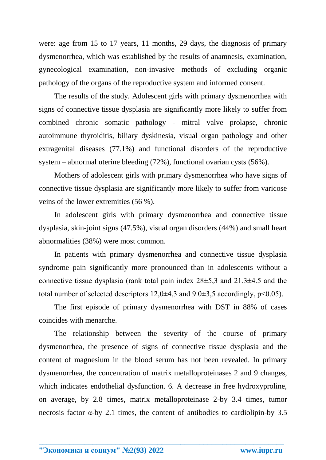were: age from 15 to 17 years, 11 months, 29 days, the diagnosis of primary dysmenorrhea, which was established by the results of anamnesis, examination, gynecological examination, non-invasive methods of excluding organic pathology of the organs of the reproductive system and informed consent.

The results of the study. Adolescent girls with primary dysmenorrhea with signs of connective tissue dysplasia are significantly more likely to suffer from combined chronic somatic pathology - mitral valve prolapse, chronic autoimmune thyroiditis, biliary dyskinesia, visual organ pathology and other extragenital diseases (77.1%) and functional disorders of the reproductive system – abnormal uterine bleeding (72%), functional ovarian cysts (56%).

Mothers of adolescent girls with primary dysmenorrhea who have signs of connective tissue dysplasia are significantly more likely to suffer from varicose veins of the lower extremities (56 %).

In adolescent girls with primary dysmenorrhea and connective tissue dysplasia, skin-joint signs (47.5%), visual organ disorders (44%) and small heart abnormalities (38%) were most common.

In patients with primary dysmenorrhea and connective tissue dysplasia syndrome pain significantly more pronounced than in adolescents without a connective tissue dysplasia (rank total pain index 28±5,3 and 21.3±4.5 and the total number of selected descriptors  $12,0\pm 4,3$  and  $9.0\pm 3,5$  accordingly,  $p<0.05$ ).

The first episode of primary dysmenorrhea with DST in 88% of cases coincides with menarche.

The relationship between the severity of the course of primary dysmenorrhea, the presence of signs of connective tissue dysplasia and the content of magnesium in the blood serum has not been revealed. In primary dysmenorrhea, the concentration of matrix metalloproteinases 2 and 9 changes, which indicates endothelial dysfunction. 6. A decrease in free hydroxyproline, on average, by 2.8 times, matrix metalloproteinase 2-by 3.4 times, tumor necrosis factor  $\alpha$ -by 2.1 times, the content of antibodies to cardiolipin-by 3.5